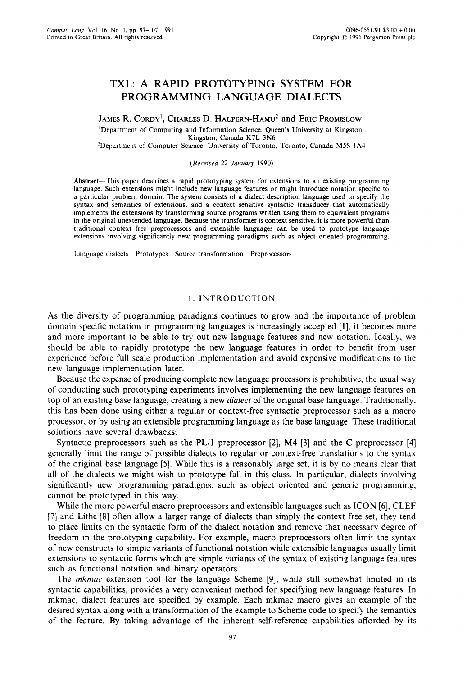# TXL: A RAPID PROTOTYPING SYSTEM FOR PROGRAMMING LANGUAGE DIALECTS

# JAMES R. CORDY<sup>1</sup>, CHARLES D. HALPERN-HAMU<sup>2</sup> and ERIC PROMISLOW<sup>1</sup>

<sup>1</sup>Department of Computing and Information Science, Queen's University at Kingston, Kingston, Canada K7L 3N6

<sup>2</sup>Department of Computer Science, University of Toronto, Toronto, Canada M5S 1A4

*(Received* 22 *January* 1990)

Abstract-This paper describes a rapid prototyping system for extensions to an existing programming language. Such extensions might include new language features or might introduce notation specific to a particular problem domain. The system consists of a dialect description language used to specify the syntax and semantics of extensions, and a context sensitive syntactic transducer that automatically implements the extensions by transforming source programs written using them to equivalent programs in the original unextended language. Because the transformer is context sensitive, it is more powerful than traditional context free preprocessors and extensible languages can be used to prototype language extensions involving significantly new programming paradigms such as object oriented programming.

Language dialects Prototypes Source transformation Preprocessors

### 1. INTRODUCTION

As the diversity of programming paradigms continues to grow and the importance of problem domain specific notation in programming languages is increasingly accepted [1], it becomes more and more important to be able to try out new language features and new notation. Ideally, we should be able to rapidly prototype the new language features in order to benefit from user experience before full scale production implementation and avoid expensive modifications to the new language implementation later.

Because the expense of producing complete new language processors is prohibitive, the usual way of conducting such prototyping experiments involves implementing the new language features on top of an existing base language, creating a new *dialect* of the original base language. Traditionally, this has been done using either a regular or context-free syntactic preprocessor such as a macro processor, or by using an extensible programming language as the base language. These traditional solutions have several drawbacks.

Syntactic preprocessors such as the PL/1 preprocessor [2], M4 [3] and the C preprocessor [4] generally limit the range of possible dialects to regular or context-free translations to the syntax of the original base language [5]. While this is a reasonably large set, it is by no means clear that all of the dialects we might wish to prototype fall in this class. In particular, dialects involving significantly new programming paradigms, such as object oriented and generic programming, cannot be prototyped in this way.

While the more powerful macro preprocessors and extensible languages such as ICON [6], CLEF [7] and Lithe [8] often allow a larger range of dialects than simply the context free set, they tend to place limits on the syntactic form of the dialect notation and remove that necessary degree of freedom in the prototyping capability. For example, macro preprocessors often limit the syntax of new constructs to simple variants of functional notation while extensible languages usually limit extensions to syntactic forms which are simple variants of the syntax of existing language features such as functional notation and binary operators.

The *rnkmac* extension tool for the language Scheme [9], while still somewhat limited in its syntactic capabilities, provides a very convenient method for specifying new language features. In mkmac, dialect features are specified by example. Each mkmac macro gives an example of the desired syntax along with a transformation of the example to Scheme code to specify the semantics of the feature. By taking advantage of the inherent self-reference capabilities afforded by its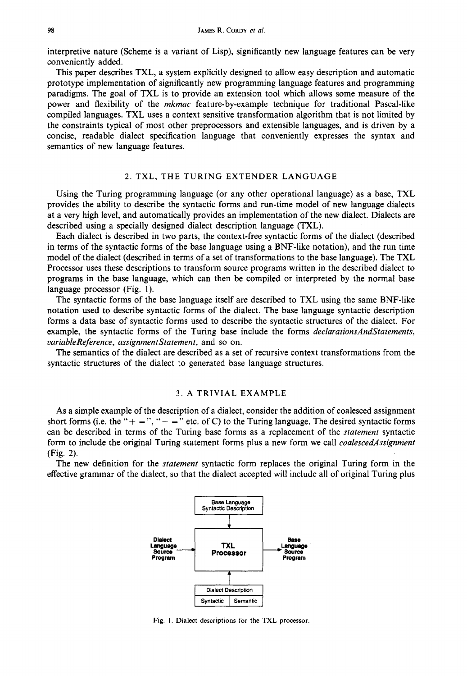interpretive nature (Scheme is a variant of Lisp), significantly new language features can be very conveniently added.

This paper describes TXL, a system explicitly designed to allow easy description and automatic prototype implementation of significantly new programming language features and programming paradigms. The goal of TXL is to provide an extension tool which allows some measure of the power and flexibility of the *mkmac* feature-by-example technique for traditional Pascal-like compiled languages. TXL uses a context sensitive transformation algorithm that is not limited by the constraints typical of most other preprocessors and extensible languages, and is driven by a concise, readable dialect specification language that conveniently expresses the syntax and semantics of new language features.

# 2. TXL, THE TURING EXTENDER LANGUAGE

Using the Turing programming language (or any other operational language) as a base, TXL provides the ability to describe the syntactic forms and run-time model of new language dialects at a very high level, and automatically provides an implementation of the new dialect. Dialects are described using a specially designed dialect description language (TXL).

Each dialect is described in two parts, the context-free syntactic forms of the dialect (described in terms of the syntactic forms of the base language using a BNF-like notation), and the run time model of the dialect (described in terms of a set of transformations to the base language). The TXL Processor uses these descriptions to transform source programs written in the described dialect to programs in the base language, which can then be compiled or interpreted by the normal base language processor (Fig. 1).

The syntactic forms of the base language itself are described to TXL using the same BNF-like notation used to describe syntactic forms of the dialect. The base language syntactic description forms a data base of syntactic forms used to describe the syntactic structures of the dialect. For example, the syntactic forms of the Turing base include the forms *declarationsAndStatements, variableReference, assignmentStatement,* and so on.

The semantics of the dialect are described as a set of recursive context transformations from the syntactic structures of the dialect to generated base language structures.

### 3. A TRIVIAL EXAMPLE

As a simple example of the description of a dialect, consider the addition of coalesced assignment short forms (i.e. the "+ = ", " - = " etc. of C) to the Turing language. The desired syntactic forms can be described in terms of the Turing base forms as a replacement of the *statement* syntactic form to include the original Turing statement forms plus a new form we call *coalescedAssignment*  (Fig. 2).

The new definition for the *statement* syntactic form replaces the original Turing form in the effective grammar of the dialect, so that the dialect accepted will include all of original Turing plus



Fig. 1. Dialect descriptions for the TXL processor.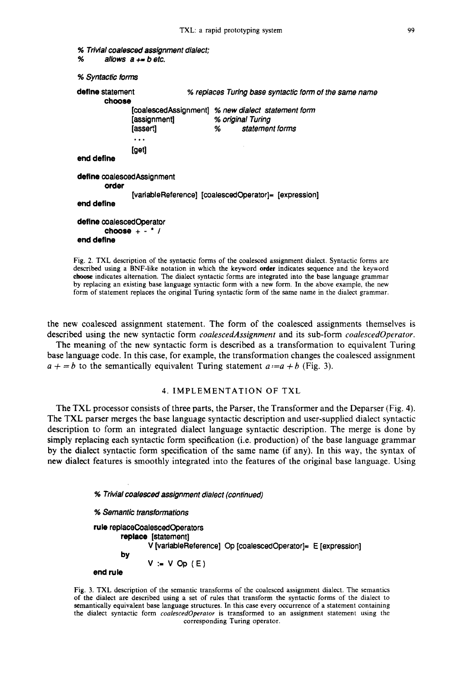```
% Trivial coalesced assignment dialect; 
% allows a +- b etc. 
% Syntactic forms 
define statement 
        choose 
                [coalescedAssig n ment] 
% new dialect statement form 
                [assignment] 
                [assert] 
                 oo= 
                [get] 
end define 
                                % replaces Turing base syntactic form of the same name 
                                        % original Turing 
                                        % statement forms 
define coalescedAssignment 
        order 
                [variableReference] [coalescedOperator]= [expression] 
end define 
define coalescedOperator 
        choose +- * / 
end define
```
Fig. 2. TXL description of the syntactic forms of the coalesced assignment dialect. Syntactic forms are described using a BNF-like notation in which the keyword order indicates sequence and the keyword **choose** indicates alternation. The dialect syntactic forms are integrated into the base language grammar by replacing an existing base language syntactic form with a new form. In the above example, the new form of statement replaces the original Turing syntactic form of the same name in the dialect grammar.

the new coalesced assignment statement. The form of the coalesced assignments themselves is described using the new syntactic form *coalescedAssignment* and its sub-form *coalescedOperator.* 

The meaning of the new syntactic form is described as a transformation to equivalent Turing base language code. In this case, for example, the transformation changes the coalesced assignment  $a + b$  to the semantically equivalent Turing statement  $a = a + b$  (Fig. 3).

### 4. IMPLEMENTATION OF TXL

The TXL processor consists of three parts, the Parser, the Transformer and the Deparser (Fig. 4). The TXL parser merges the base language syntactic description and user-supplied dialect syntactic description to form an integrated dialect language syntactic description. The merge is done by simply replacing each syntactic form specification (i.e. production) of the base language grammar by the dialect syntactic form specification of the same name (if any). In this way, the syntax of new dialect features is smoothly integrated into the features of the original base language. Using

#### *% Trivial coalesced assignment dialect (continued)*

```
% Semantic transformations
```

```
rule replaceCoalescedOperators 
       replace [statement] 
               V [variableReference] Op [coalescedOperator]= E [expression] 
       by 
               V := V Op (E)
end rule
```
Fig. 3. TXL description of the semantic transforms of the coalesced assignment dialect. The semantics of the dialect are described using a set of rules that transform the syntactic forms of the dialect to semantically equivalent base language structures. In this case every occurrence of a statement containing the dialect syntactic form *coalescedOperator* is transformed to an assignment statement using the corresponding Turing operator.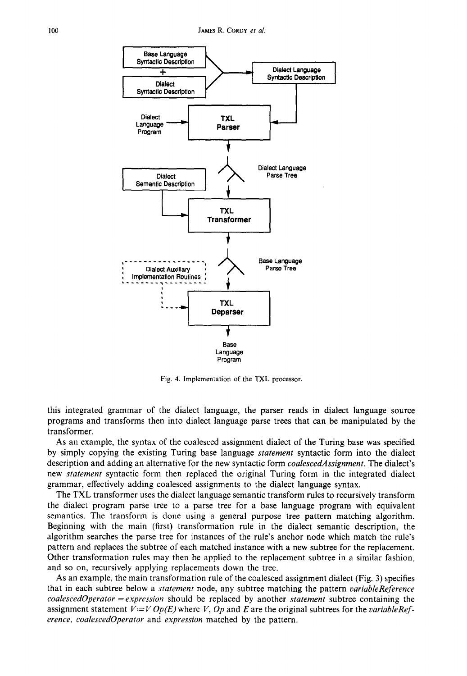

Fig. 4. Implementation of the TXL processor.

this integrated grammar of the dialect language, the parser reads in dialect language source programs and transforms then into dialect language parse trees that can be manipulated by the transformer.

As an example, the syntax of the coalesced assignment dialect of the Turing base was specified by simply copying the existing Turing base language *statement* syntactic form into the dialect description and adding an alternative for the new syntactic form *coalescedAssignment.* The dialect's new *statement* syntactic form then replaced the original Turing form in the integrated dialect grammar, effectively adding coalesced assignments to the dialect language syntax.

The TXL transformer uses the dialect language semantic transform rules to recursively transform the dialect program parse tree to a parse tree for a base language program with equivalent semantics. The transform is done using a general purpose tree pattern matching algorithm. Beginning with the main (first) transformation rule in the dialect semantic description, the algorithm searches the parse tree for instances of the rule's anchor node which match the rule's pattern and replaces the subtree of each matched instance with a new subtree for the replacement. Other transformation rules may then be applied to the replacement subtree in a similar fashion, and so on, recursively applying replacements down the tree.

As an example, the main transformation rule of the coalesced assignment dialect (Fig. 3) specifies that in each subtree below a *statement* node, any subtree matching the pattern *variableReference coalescedOperator =expression* should be replaced by another *statement* subtree containing the assignment statement  $V = V \cdot Op(E)$  where V,  $Op$  and E are the original subtrees for the *variable Reference, coalescedOperator* and *expression* matched by the pattern.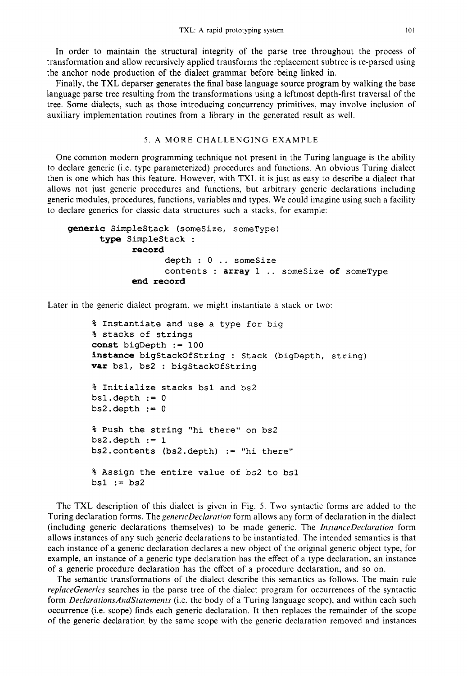In order to maintain the structural integrity of the parse tree throughout the process of transformation and allow recursively applied transforms the replacement subtree is re-parsed using the anchor node production of the dialect grammar before being linked in.

Finally, the TXL deparser generates the final base language source program by walking the base language parse tree resulting from the transformations using a leftmost depth-first traversal of the tree. Some dialects, such as those introducing concurrency primitives, may involve inclusion of auxiliary implementation routines from a library in the generated result as well.

### 5. A MORE CHALLENGING EXAMPLE

One common modern programming technique not present in the Turing language is the ability to declare generic (i.e. type parameterized) procedures and functions. An obvious Turing dialect then is one which has this feature. However, with TXL it is just as easy to describe a dialect that allows not just generic procedures and functions, but arbitrary generic declarations including generic modules, procedures, functions, variables and types. We could imagine using such a facility to declare generics for classic data structures such a stacks, for example:

```
generic SimpleStack (someSize, someType) 
      type SimpleStack : 
             record 
                   depth : 0 .. someSize 
                   contents : array 1 .. 
someSize of someType 
             end record
```
Later in the generic dialect program, we might instantiate a stack or two:

```
% Instantiate and use a type for big 
% stacks of strings 
const bigDepth := 100instance bigStackOfString : Stack (bigDepth, 
string) 
var bsl, bs2 : bigStackOfString 
% Initialize stacks bsl and bs2 
bs1.depth := 0bs2.depth := 0% Push the string "hi there" on bs2 
bs2.depth := 1bs2.contents (bs2.depth) := "hi there" 
% Assign the entire value of bs2 to bsl 
bs1 := bs2
```
The TXL description of this dialect is given in Fig. 5. Two syntactic forms are added to the Turing declaration forms. The *genericDeclaration* form allows any form of declaration in the dialect (including generic declarations themselves) to be made generic. The *InstanceDeclaration* form allows instances of any such generic declarations to be instantiated. The intended semantics is that each instance of a generic declaration declares a new object of the original generic object type, for example, an instance of a generic type declaration has the effect of a type declaration, an instance of a generic procedure declaration has the effect of a procedure declaration, and so on.

The semantic transformations of the dialect describe this semantics as follows. The main rule *replaceGenerics* searches in the parse tree of the dialect program for occurrences of the syntactic form *DeclarationsAndStatements* (i.e. the body of a Turing language scope), and within each such occurrence (i.e. scope) finds each generic declaration. It then replaces the remainder of the scope of the generic declaration by the same scope with the generic declaration removed and instances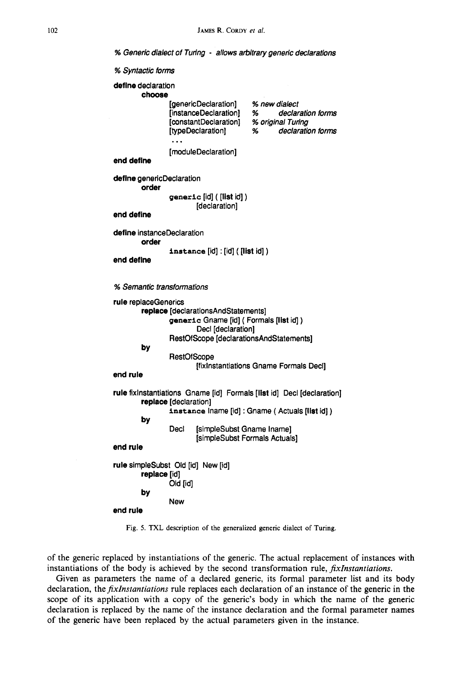*% Generic dialect of Turing - allows arbitrary generic declarations* 

*% Syntactic forms*  **define** declaration **choose**  [genericDeclaration] [instanceDeclaration] [constantDeclaration] [typeDeclaration] ,== [moduleDeclaration] **end define**  *% new dialect % declaration forms % original Turing % declaration forms*  **define genericDeclaration order generic [id] ( [list id] ) [declaration] end define define instanceDeclaration order instance** [id] : [id] ( [list id] ) **end define**  *% Semantic transformations*  **rule** replaceGenerics **replace** [declarationsAndStatements] **generic** Gname [id] ( Formals [list id] ) Decl [declaration] RestOfScope [declarationsAndStatements] **end rule by**  RestOfScope [fixlnstantiations Gname Formals Decl] **rule** fixlnstantiations Gname [id] Formals [list id] Decl [declaration] **replace** [declaration] **instance** Iname [id] : Gname ( Actuals [list id] ) **by**  Decl [simpleSubst Gname Iname] [simpleSubst Formals Actuals] **end rule rule** simpleSubst Old [id] New [id] **replace [id]**  Old [id] **by**  New **end rule**  Fig. 5. TXL description of the generalized generic dialect of Turing.

of the generic replaced by instantiations of the generic. The actual replacement of instances with instantiations of the body is achieved by the second transformation rule, *fixInstantiations.* 

Given as parameters the name of a declared generic, its formal parameter list and its body declaration, *thefixInstantiations* rule replaces each declaration of an instance of the generic in the scope of its application with a copy of the generic's body in which the name of the generic declaration is replaced by the name of the instance declaration and the formal parameter names of the generic have been replaced by the actual parameters given in the instance.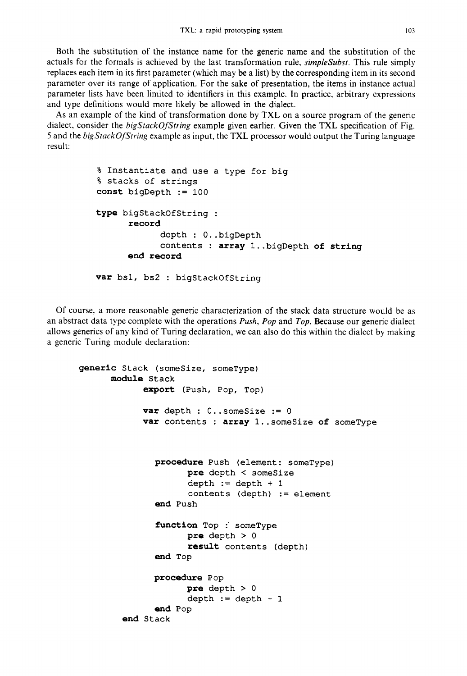Both the substitution of the instance name for the generic name and the substitution of the actuals for the formals is achieved by the last transformation rule, *simpleSubst.* This rule simply replaces each item in its first parameter (which may be a list) by the corresponding item in its second parameter over its range of application. For the sake of presentation, the items in instance actual parameter lists have been limited to identifiers in this example. In practice, arbitrary expressions and type definitions would more likely be allowed in the dialect.

As an example of the kind of transformation done by TXL on a source program of the generic dialect, consider the *bigStackOfString* example given earlier. Given the TXL specification of Fig. 5 and the *bigStackOfString* example as input, the TXL processor would output the Turing language result:

```
% Instantiate and use a type for big 
% stacks of strings 
const bigDepth := I00 
type bigStackOfString : 
      record 
            depth : 0..bigDepth 
            contents : array l..bigDepth of string 
      end record 
var bsl, bs2 : bigStackOfString
```
Of course, a more reasonable generic characterization of the stack data structure would be as an abstract data type complete with the operations *Push, Pop* and *Top.* Because our generic dialect allows generics of any kind of Turing declaration, we can also do this within the dialect by making a generic Turing module declaration:

```
generic Stack (someSize, someType) 
      module Stack 
             export (Push, Pop, Top) 
             vat depth : 0..someSize := 0 
             var contents : array l..someSize of someType 
               procedure Push (element: someType) 
                     pre depth < someSize 
                     depth := depth + 1contents (depth) := element 
               end Push 
               function Top :' someType 
                     pre depth > 0 
                     result contents (depth) 
               end Top 
               procedure Pop 
                     pre depth > 0 
                     depth := depth - 1end Pop 
        end Stack
```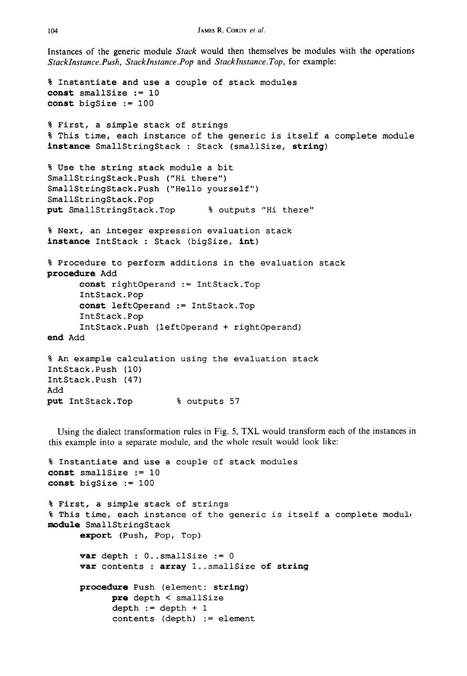Instances of the generic module *Stack* would then themselves be modules with the operations *Stacklnstance.Push, Stacklnstance.Pop* and *Stacklnstance.Top,* for example:

```
% Instantiate and use a couple of stack modules 
const smallSize := 10const bigSize := I00 
% First, a simple stack of strings 
% This time, each instance of the generic is itself a complete module 
instance SmallStringStack : Stack (smallSize, string) 
% Use the string stack module a bit 
SmallStringStack.Push ("Hi there") 
SmallStringStack. Push ("Hello yourself") 
SmallStringStack. Pop 
put SmallStringStack.Top % outputs "Hi there" 
% Next, an integer expression evaluation stack 
instance IntStack : Stack (bigSize, int) 
% Procedure to perform additions in the evaluation stack 
procedure Add 
      const rightOperand := IntStack. Top 
      IntStack. Pop 
      const leftOperand := IntStack. Top 
      IntStack. Pop 
      IntStack. Push (leftOperand + rightOperand) 
end Add 
% An example calculation using the evaluation stack 
IntStack.Push (I0) 
IntStack.Push (47) 
Add 
put IntStack. Top 3 outputs 57
```
Using the dialect transformation rules in Fig. 5, TXL would transform each of the instances in this example into a separate module, and the whole result would look like:

```
% Instantiate and use a couple of stack modules 
const smallSize := I0 
const bigSize := 100 
% First, a simple stack of strings 
% This time, each instance of the generic is itself a complete modul4 
module SmallStringStack 
      export (Push, Pop, Top) 
      var depth : 0..smallSize := 0 
      var contents : array 1..smallSize of string
      procedure Push (element: string) 
            pre depth < smallSize 
            depth := depth + 1contents (depth) := element
```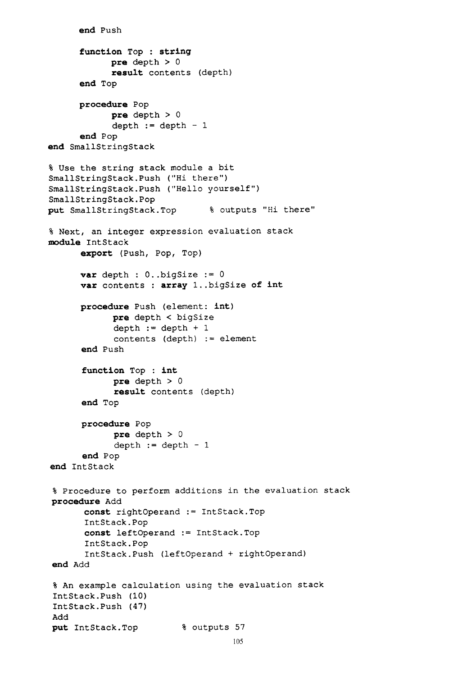```
end Push 
      function Top : string 
            pre depth > 0 
            result contents (depth) 
      end Top 
      procedure Pop 
            pre depth > 0depth := depth -1end Pop 
end SmallStringStack 
% Use the string stack module a bit 
SmallStringStack. Push ("Hi there") 
SmallStringStack. Push ("Hello yourself") 
SmallStringStack. Pop 
put SmallStringStack. Top % outputs "Hi there" 
% Next, an integer expression evaluation stack 
module IntStack 
      export (Push, Pop, Top) 
      var depth : 0..bigSize := 0var contents : array 1..bigSize of int
      procedure Push (element: int) 
            pre depth \lt bigSize
            depth := depth + 1contents (depth) := element 
      end Push 
      function Top : int 
            pre depth > 0 
             result contents (depth) 
      end Top 
      procedure Pop 
            pre depth > 0depth := depth -1end Pop 
end IntStack 
% Procedure to perform additions in the evaluation stack 
procedure Add 
       const rightOperand := IntStack. Top
       IntStack. Pop 
       const leftOperand := IntStack. Top 
       IntStack. Pop 
       IntStack. Push (leftOperand + rightOperand) 
end Add 
% An example calculation using the evaluation stack 
IntStack. Push (10)
IntStack. Push (47) 
Add 
put IntStack.Top % outputs 57
```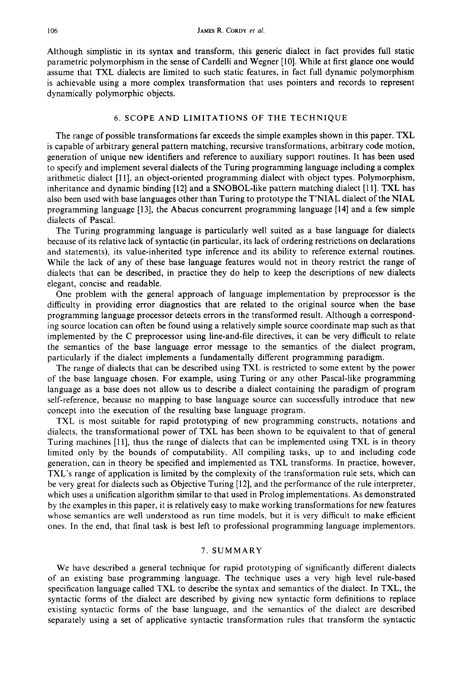Although simplistic in its syntax and transform, this generic dialect in fact provides full static parametric polymorphism in the sense of Cardelli and Wegner [10]. While at first glance one would assume that TXL dialects are limited to such static features, in fact full dynamic polymorphism is achievable using a more complex transformation that uses pointers and records to represent dynamically polymorphic objects.

### 6. SCOPE AND LIMITATIONS OF THE TECHNIQUE

The range of possible transformations far exceeds the simple examples shown in this paper. TXL is capable of arbitrary general pattern matching, recursive transformations, arbitrary code motion, generation of unique new identifiers and reference to auxiliary support routines. It has been used to specify and implement several dialects of the Turing programming language including a complex arithmetic dialect [11], an object-oriented programming dialect with object types. Polymorphism, inheritance and dynamic binding [12] and a SNOBOL-Iike pattern matching dialect [11]. TXL has also been used with base languages other than Turing to prototype the T'NIAL dialect of the NIAL programming language [13], the Abacus concurrent programming language [14] and a few simple dialects of Pascal.

The Turing programming language is particularly well suited as a base language for dialects because of its relative lack of syntactic (in particular, its lack of ordering restrictions on declarations and statements), its value-inherited type inference and its ability to reference external routines. While the lack of any of these base language features would not in theory restrict the range of dialects that can be described, in practice they do help to keep the descriptions of new dialects elegant, concise and readable.

One problem with the general approach of language implementation by preprocessor is the difficulty in providing error diagnostics that are related to the original source when the base programming language processor detects errors in the transformed result. Although a corresponding source location can often be found using a relatively simple source coordinate map such as that implemented by the C preprocessor using line-and-file directives, it can be very difficult to relate the semantics of the base language error message to the semantics of the dialect program, particularly if the dialect implements a fundamentally different programming paradigm.

The range of dialects that can be described using TXL is restricted to some extent by the power of the base language chosen. For example, using Turing or any other Pascal-like programming language as a base does not allow us to describe a dialect containing the paradigm of program self-reference, because no mapping to base language source can successfully introduce that new concept into the execution of the resulting base language program.

TXL is most suitable for rapid prototyping of new programming constructs, notations and dialects, the transformational power of TXL has been shown to be equivalent to that of general Turing machines [11], thus the range of dialects that can be implemented using TXL is in theory limited only by the bounds of computability. All compiling tasks, up to and including code generation, can in theory be specified and implemented as TXL transforms. In practice, however, TXL's range of application is limited by the complexity of the transformation rule sets, which can be very great for dialects such as Objective Turing [12], and the performance of the rule interpreter, which uses a unification algorithm similar to that used in Prolog implementations. As demonstrated by the examples in this paper, it is relatively easy to make working transformations for new features whose semantics are well understood as run time models, but it is very difficult to make efficient ones. In the end, that final task is best left to professional programming language implementors.

# 7. SUMMARY

We have described a general technique for rapid prototyping of significantly different dialects of an existing base programming language. The technique uses a very high level rule-based specification language called TXL to describe the syntax and semantics of the dialect. In TXL, the syntactic forms of the dialect are described by giving new syntactic form definitions to replace existing syntactic forms of the base language, and the semantics of the dialect are described separately using a set of applicative syntactic transformation rules that transform the syntactic